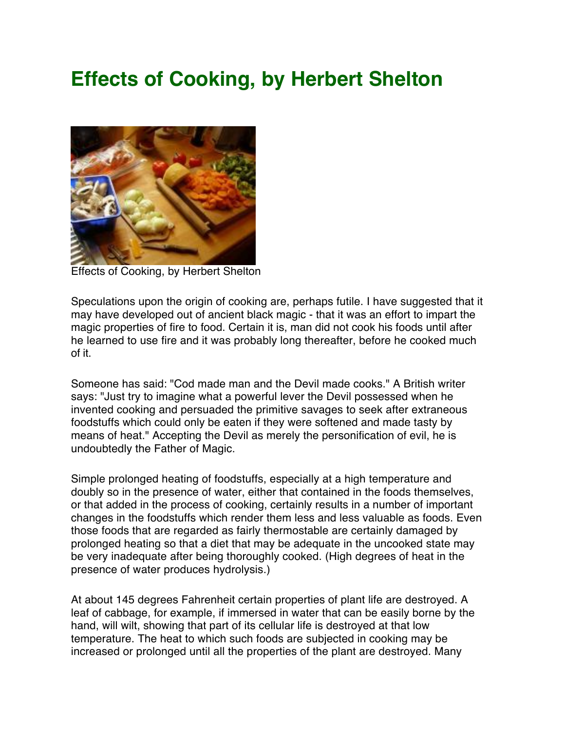# **Effects of Cooking, by Herbert Shelton**



Effects of Cooking, by Herbert Shelton

Speculations upon the origin of cooking are, perhaps futile. I have suggested that it may have developed out of ancient black magic - that it was an effort to impart the magic properties of fire to food. Certain it is, man did not cook his foods until after he learned to use fire and it was probably long thereafter, before he cooked much of it.

Someone has said: "Cod made man and the Devil made cooks." A British writer says: "Just try to imagine what a powerful lever the Devil possessed when he invented cooking and persuaded the primitive savages to seek after extraneous foodstuffs which could only be eaten if they were softened and made tasty by means of heat." Accepting the Devil as merely the personification of evil, he is undoubtedly the Father of Magic.

Simple prolonged heating of foodstuffs, especially at a high temperature and doubly so in the presence of water, either that contained in the foods themselves, or that added in the process of cooking, certainly results in a number of important changes in the foodstuffs which render them less and less valuable as foods. Even those foods that are regarded as fairly thermostable are certainly damaged by prolonged heating so that a diet that may be adequate in the uncooked state may be very inadequate after being thoroughly cooked. (High degrees of heat in the presence of water produces hydrolysis.)

At about 145 degrees Fahrenheit certain properties of plant life are destroyed. A leaf of cabbage, for example, if immersed in water that can be easily borne by the hand, will wilt, showing that part of its cellular life is destroyed at that low temperature. The heat to which such foods are subjected in cooking may be increased or prolonged until all the properties of the plant are destroyed. Many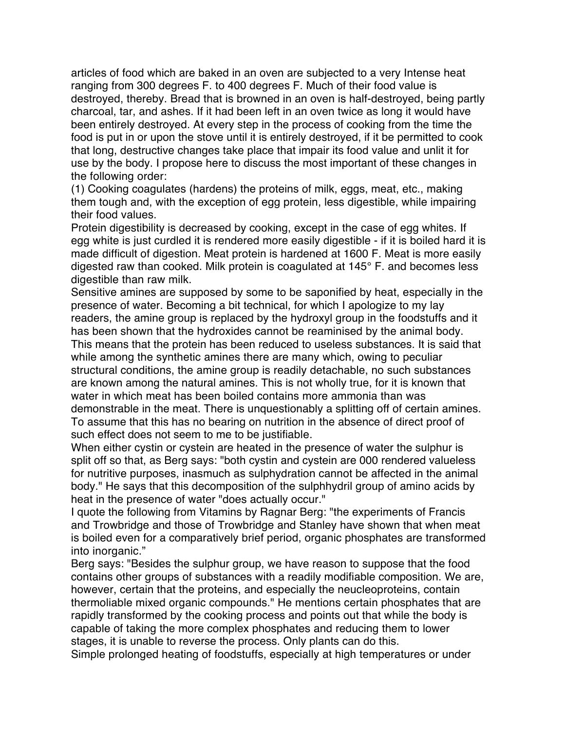articles of food which are baked in an oven are subjected to a very Intense heat ranging from 300 degrees F. to 400 degrees F. Much of their food value is destroyed, thereby. Bread that is browned in an oven is half-destroyed, being partly charcoal, tar, and ashes. If it had been left in an oven twice as long it would have been entirely destroyed. At every step in the process of cooking from the time the food is put in or upon the stove until it is entirely destroyed, if it be permitted to cook that long, destructive changes take place that impair its food value and unlit it for use by the body. I propose here to discuss the most important of these changes in the following order:

(1) Cooking coagulates (hardens) the proteins of milk, eggs, meat, etc., making them tough and, with the exception of egg protein, less digestible, while impairing their food values.

Protein digestibility is decreased by cooking, except in the case of egg whites. If egg white is just curdled it is rendered more easily digestible - if it is boiled hard it is made difficult of digestion. Meat protein is hardened at 1600 F. Meat is more easily digested raw than cooked. Milk protein is coagulated at 145° F. and becomes less digestible than raw milk.

Sensitive amines are supposed by some to be saponified by heat, especially in the presence of water. Becoming a bit technical, for which I apologize to my lay readers, the amine group is replaced by the hydroxyl group in the foodstuffs and it has been shown that the hydroxides cannot be reaminised by the animal body. This means that the protein has been reduced to useless substances. It is said that while among the synthetic amines there are many which, owing to peculiar structural conditions, the amine group is readily detachable, no such substances are known among the natural amines. This is not wholly true, for it is known that water in which meat has been boiled contains more ammonia than was demonstrable in the meat. There is unquestionably a splitting off of certain amines. To assume that this has no bearing on nutrition in the absence of direct proof of such effect does not seem to me to be justifiable.

When either cystin or cystein are heated in the presence of water the sulphur is split off so that, as Berg says: "both cystin and cystein are 000 rendered valueless for nutritive purposes, inasmuch as sulphydration cannot be affected in the animal body." He says that this decomposition of the sulphhydril group of amino acids by heat in the presence of water "does actually occur."

I quote the following from Vitamins by Ragnar Berg: "the experiments of Francis and Trowbridge and those of Trowbridge and Stanley have shown that when meat is boiled even for a comparatively brief period, organic phosphates are transformed into inorganic."

Berg says: "Besides the sulphur group, we have reason to suppose that the food contains other groups of substances with a readily modifiable composition. We are, however, certain that the proteins, and especially the neucleoproteins, contain thermoliable mixed organic compounds." He mentions certain phosphates that are rapidly transformed by the cooking process and points out that while the body is capable of taking the more complex phosphates and reducing them to lower stages, it is unable to reverse the process. Only plants can do this.

Simple prolonged heating of foodstuffs, especially at high temperatures or under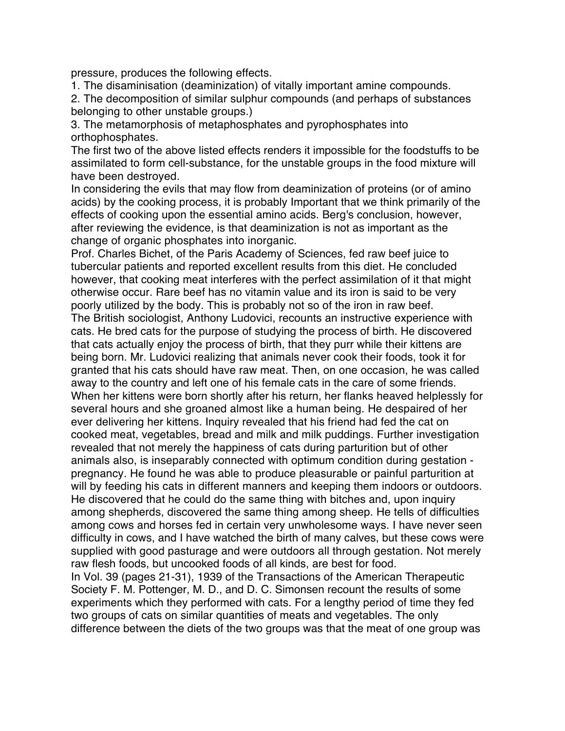pressure, produces the following effects.

1. The disaminisation (deaminization) of vitally important amine compounds.

2. The decomposition of similar sulphur compounds (and perhaps of substances belonging to other unstable groups.)

3. The metamorphosis of metaphosphates and pyrophosphates into orthophosphates.

The first two of the above listed effects renders it impossible for the foodstuffs to be assimilated to form cell-substance, for the unstable groups in the food mixture will have been destroyed.

In considering the evils that may flow from deaminization of proteins (or of amino acids) by the cooking process, it is probably Important that we think primarily of the effects of cooking upon the essential amino acids. Berg's conclusion, however, after reviewing the evidence, is that deaminization is not as important as the change of organic phosphates into inorganic.

Prof. Charles Bichet, of the Paris Academy of Sciences, fed raw beef juice to tubercular patients and reported excellent results from this diet. He concluded however, that cooking meat interferes with the perfect assimilation of it that might otherwise occur. Rare beef has no vitamin value and its iron is said to be very poorly utilized by the body. This is probably not so of the iron in raw beef. The British sociologist, Anthony Ludovici, recounts an instructive experience with cats. He bred cats for the purpose of studying the process of birth. He discovered that cats actually enjoy the process of birth, that they purr while their kittens are being born. Mr. Ludovici realizing that animals never cook their foods, took it for granted that his cats should have raw meat. Then, on one occasion, he was called away to the country and left one of his female cats in the care of some friends. When her kittens were born shortly after his return, her flanks heaved helplessly for several hours and she groaned almost like a human being. He despaired of her ever delivering her kittens. Inquiry revealed that his friend had fed the cat on cooked meat, vegetables, bread and milk and milk puddings. Further investigation revealed that not merely the happiness of cats during parturition but of other animals also, is inseparably connected with optimum condition during gestation pregnancy. He found he was able to produce pleasurable or painful parturition at will by feeding his cats in different manners and keeping them indoors or outdoors. He discovered that he could do the same thing with bitches and, upon inquiry among shepherds, discovered the same thing among sheep. He tells of difficulties among cows and horses fed in certain very unwholesome ways. I have never seen difficulty in cows, and I have watched the birth of many calves, but these cows were supplied with good pasturage and were outdoors all through gestation. Not merely

raw flesh foods, but uncooked foods of all kinds, are best for food. In Vol. 39 (pages 21-31), 1939 of the Transactions of the American Therapeutic Society F. M. Pottenger, M. D., and D. C. Simonsen recount the results of some experiments which they performed with cats. For a lengthy period of time they fed two groups of cats on similar quantities of meats and vegetables. The only difference between the diets of the two groups was that the meat of one group was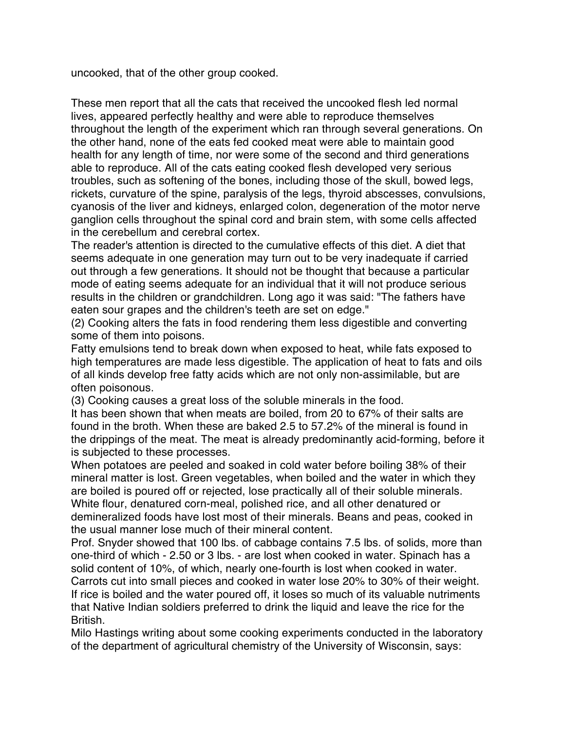uncooked, that of the other group cooked.

These men report that all the cats that received the uncooked flesh led normal lives, appeared perfectly healthy and were able to reproduce themselves throughout the length of the experiment which ran through several generations. On the other hand, none of the eats fed cooked meat were able to maintain good health for any length of time, nor were some of the second and third generations able to reproduce. All of the cats eating cooked flesh developed very serious troubles, such as softening of the bones, including those of the skull, bowed legs, rickets, curvature of the spine, paralysis of the legs, thyroid abscesses, convulsions, cyanosis of the liver and kidneys, enlarged colon, degeneration of the motor nerve ganglion cells throughout the spinal cord and brain stem, with some cells affected in the cerebellum and cerebral cortex.

The reader's attention is directed to the cumulative effects of this diet. A diet that seems adequate in one generation may turn out to be very inadequate if carried out through a few generations. It should not be thought that because a particular mode of eating seems adequate for an individual that it will not produce serious results in the children or grandchildren. Long ago it was said: "The fathers have eaten sour grapes and the children's teeth are set on edge."

(2) Cooking alters the fats in food rendering them less digestible and converting some of them into poisons.

Fatty emulsions tend to break down when exposed to heat, while fats exposed to high temperatures are made less digestible. The application of heat to fats and oils of all kinds develop free fatty acids which are not only non-assimilable, but are often poisonous.

(3) Cooking causes a great loss of the soluble minerals in the food.

It has been shown that when meats are boiled, from 20 to 67% of their salts are found in the broth. When these are baked 2.5 to 57.2% of the mineral is found in the drippings of the meat. The meat is already predominantly acid-forming, before it is subjected to these processes.

When potatoes are peeled and soaked in cold water before boiling 38% of their mineral matter is lost. Green vegetables, when boiled and the water in which they are boiled is poured off or rejected, lose practically all of their soluble minerals. White flour, denatured corn-meal, polished rice, and all other denatured or demineralized foods have lost most of their minerals. Beans and peas, cooked in the usual manner lose much of their mineral content.

Prof. Snyder showed that 100 lbs. of cabbage contains 7.5 lbs. of solids, more than one-third of which - 2.50 or 3 lbs. - are lost when cooked in water. Spinach has a solid content of 10%, of which, nearly one-fourth is lost when cooked in water. Carrots cut into small pieces and cooked in water lose 20% to 30% of their weight. If rice is boiled and the water poured off, it loses so much of its valuable nutriments that Native Indian soldiers preferred to drink the liquid and leave the rice for the British.

Milo Hastings writing about some cooking experiments conducted in the laboratory of the department of agricultural chemistry of the University of Wisconsin, says: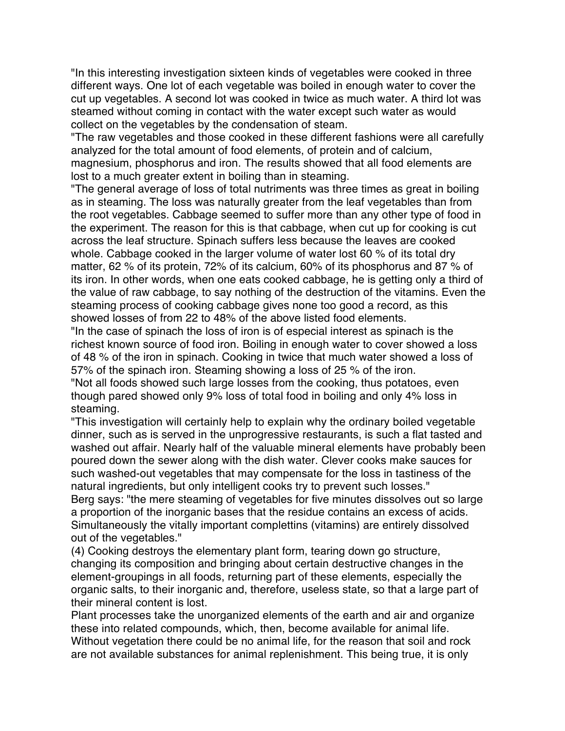"In this interesting investigation sixteen kinds of vegetables were cooked in three different ways. One lot of each vegetable was boiled in enough water to cover the cut up vegetables. A second lot was cooked in twice as much water. A third lot was steamed without coming in contact with the water except such water as would collect on the vegetables by the condensation of steam.

"The raw vegetables and those cooked in these different fashions were all carefully analyzed for the total amount of food elements, of protein and of calcium, magnesium, phosphorus and iron. The results showed that all food elements are lost to a much greater extent in boiling than in steaming.

"The general average of loss of total nutriments was three times as great in boiling as in steaming. The loss was naturally greater from the leaf vegetables than from the root vegetables. Cabbage seemed to suffer more than any other type of food in the experiment. The reason for this is that cabbage, when cut up for cooking is cut across the leaf structure. Spinach suffers less because the leaves are cooked whole. Cabbage cooked in the larger volume of water lost 60 % of its total dry matter, 62 % of its protein, 72% of its calcium, 60% of its phosphorus and 87 % of its iron. In other words, when one eats cooked cabbage, he is getting only a third of the value of raw cabbage, to say nothing of the destruction of the vitamins. Even the steaming process of cooking cabbage gives none too good a record, as this showed losses of from 22 to 48% of the above listed food elements.

"In the case of spinach the loss of iron is of especial interest as spinach is the richest known source of food iron. Boiling in enough water to cover showed a loss of 48 % of the iron in spinach. Cooking in twice that much water showed a loss of 57% of the spinach iron. Steaming showing a loss of 25 % of the iron.

"Not all foods showed such large losses from the cooking, thus potatoes, even though pared showed only 9% loss of total food in boiling and only 4% loss in steaming.

"This investigation will certainly help to explain why the ordinary boiled vegetable dinner, such as is served in the unprogressive restaurants, is such a flat tasted and washed out affair. Nearly half of the valuable mineral elements have probably been poured down the sewer along with the dish water. Clever cooks make sauces for such washed-out vegetables that may compensate for the loss in tastiness of the natural ingredients, but only intelligent cooks try to prevent such losses." Berg says: "the mere steaming of vegetables for five minutes dissolves out so large

a proportion of the inorganic bases that the residue contains an excess of acids. Simultaneously the vitally important complettins (vitamins) are entirely dissolved out of the vegetables."

(4) Cooking destroys the elementary plant form, tearing down go structure, changing its composition and bringing about certain destructive changes in the element-groupings in all foods, returning part of these elements, especially the organic salts, to their inorganic and, therefore, useless state, so that a large part of their mineral content is lost.

Plant processes take the unorganized elements of the earth and air and organize these into related compounds, which, then, become available for animal life. Without vegetation there could be no animal life, for the reason that soil and rock are not available substances for animal replenishment. This being true, it is only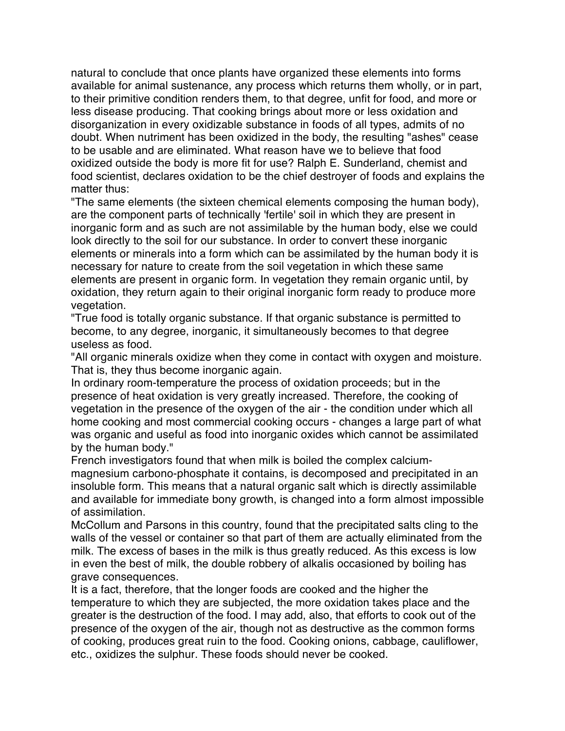natural to conclude that once plants have organized these elements into forms available for animal sustenance, any process which returns them wholly, or in part, to their primitive condition renders them, to that degree, unfit for food, and more or less disease producing. That cooking brings about more or less oxidation and disorganization in every oxidizable substance in foods of all types, admits of no doubt. When nutriment has been oxidized in the body, the resulting "ashes" cease to be usable and are eliminated. What reason have we to believe that food oxidized outside the body is more fit for use? Ralph E. Sunderland, chemist and food scientist, declares oxidation to be the chief destroyer of foods and explains the matter thus:

"The same elements (the sixteen chemical elements composing the human body), are the component parts of technically 'fertile' soil in which they are present in inorganic form and as such are not assimilable by the human body, else we could look directly to the soil for our substance. In order to convert these inorganic elements or minerals into a form which can be assimilated by the human body it is necessary for nature to create from the soil vegetation in which these same elements are present in organic form. In vegetation they remain organic until, by oxidation, they return again to their original inorganic form ready to produce more vegetation.

"True food is totally organic substance. If that organic substance is permitted to become, to any degree, inorganic, it simultaneously becomes to that degree useless as food.

"All organic minerals oxidize when they come in contact with oxygen and moisture. That is, they thus become inorganic again.

In ordinary room-temperature the process of oxidation proceeds; but in the presence of heat oxidation is very greatly increased. Therefore, the cooking of vegetation in the presence of the oxygen of the air - the condition under which all home cooking and most commercial cooking occurs - changes a large part of what was organic and useful as food into inorganic oxides which cannot be assimilated by the human body."

French investigators found that when milk is boiled the complex calciummagnesium carbono-phosphate it contains, is decomposed and precipitated in an insoluble form. This means that a natural organic salt which is directly assimilable and available for immediate bony growth, is changed into a form almost impossible of assimilation.

McCollum and Parsons in this country, found that the precipitated salts cling to the walls of the vessel or container so that part of them are actually eliminated from the milk. The excess of bases in the milk is thus greatly reduced. As this excess is low in even the best of milk, the double robbery of alkalis occasioned by boiling has grave consequences.

It is a fact, therefore, that the longer foods are cooked and the higher the temperature to which they are subjected, the more oxidation takes place and the greater is the destruction of the food. I may add, also, that efforts to cook out of the presence of the oxygen of the air, though not as destructive as the common forms of cooking, produces great ruin to the food. Cooking onions, cabbage, cauliflower, etc., oxidizes the sulphur. These foods should never be cooked.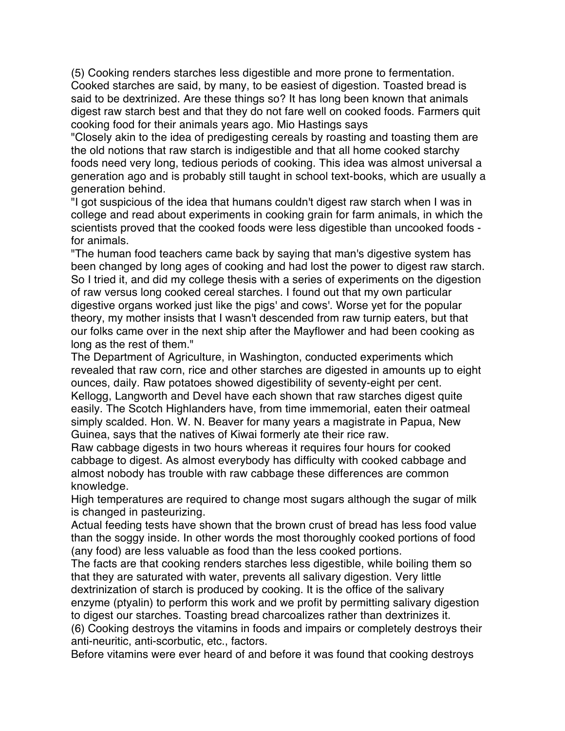(5) Cooking renders starches less digestible and more prone to fermentation. Cooked starches are said, by many, to be easiest of digestion. Toasted bread is said to be dextrinized. Are these things so? It has long been known that animals digest raw starch best and that they do not fare well on cooked foods. Farmers quit cooking food for their animals years ago. Mio Hastings says

"Closely akin to the idea of predigesting cereals by roasting and toasting them are the old notions that raw starch is indigestible and that all home cooked starchy foods need very long, tedious periods of cooking. This idea was almost universal a generation ago and is probably still taught in school text-books, which are usually a generation behind.

"I got suspicious of the idea that humans couldn't digest raw starch when I was in college and read about experiments in cooking grain for farm animals, in which the scientists proved that the cooked foods were less digestible than uncooked foods for animals.

"The human food teachers came back by saying that man's digestive system has been changed by long ages of cooking and had lost the power to digest raw starch. So I tried it, and did my college thesis with a series of experiments on the digestion of raw versus long cooked cereal starches. I found out that my own particular digestive organs worked just like the pigs' and cows'. Worse yet for the popular theory, my mother insists that I wasn't descended from raw turnip eaters, but that our folks came over in the next ship after the Mayflower and had been cooking as long as the rest of them."

The Department of Agriculture, in Washington, conducted experiments which revealed that raw corn, rice and other starches are digested in amounts up to eight ounces, daily. Raw potatoes showed digestibility of seventy-eight per cent. Kellogg, Langworth and Devel have each shown that raw starches digest quite easily. The Scotch Highlanders have, from time immemorial, eaten their oatmeal simply scalded. Hon. W. N. Beaver for many years a magistrate in Papua, New Guinea, says that the natives of Kiwai formerly ate their rice raw.

Raw cabbage digests in two hours whereas it requires four hours for cooked cabbage to digest. As almost everybody has difficulty with cooked cabbage and almost nobody has trouble with raw cabbage these differences are common knowledge.

High temperatures are required to change most sugars although the sugar of milk is changed in pasteurizing.

Actual feeding tests have shown that the brown crust of bread has less food value than the soggy inside. In other words the most thoroughly cooked portions of food (any food) are less valuable as food than the less cooked portions.

The facts are that cooking renders starches less digestible, while boiling them so that they are saturated with water, prevents all salivary digestion. Very little dextrinization of starch is produced by cooking. It is the office of the salivary enzyme (ptyalin) to perform this work and we profit by permitting salivary digestion to digest our starches. Toasting bread charcoalizes rather than dextrinizes it.

(6) Cooking destroys the vitamins in foods and impairs or completely destroys their anti-neuritic, anti-scorbutic, etc., factors.

Before vitamins were ever heard of and before it was found that cooking destroys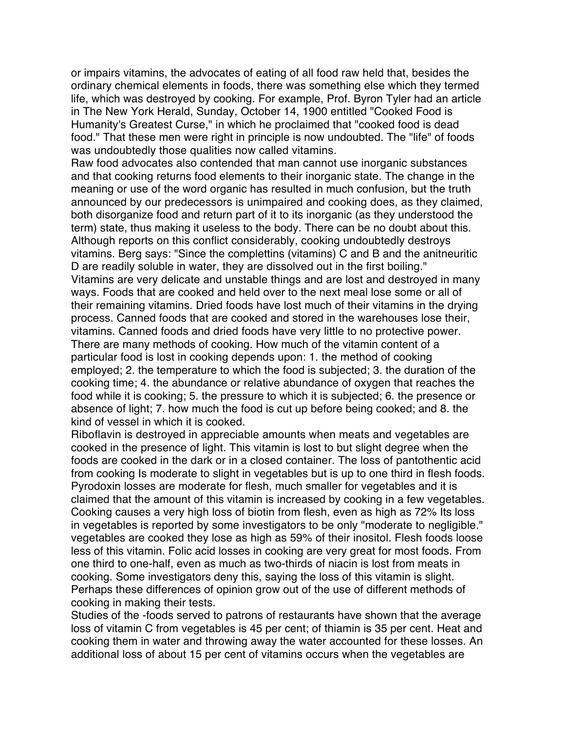or impairs vitamins, the advocates of eating of all food raw held that, besides the ordinary chemical elements in foods, there was something else which they termed life, which was destroyed by cooking. For example, Prof. Byron Tyler had an article in The New York Herald, Sunday, October 14, 1900 entitled "Cooked Food is Humanity's Greatest Curse," in which he proclaimed that "cooked food is dead food." That these men were right in principle is now undoubted. The "life" of foods was undoubtedly those qualities now called vitamins.

Raw food advocates also contended that man cannot use inorganic substances and that cooking returns food elements to their inorganic state. The change in the meaning or use of the word organic has resulted in much confusion, but the truth announced by our predecessors is unimpaired and cooking does, as they claimed, both disorganize food and return part of it to its inorganic (as they understood the term) state, thus making it useless to the body. There can be no doubt about this. Although reports on this conflict considerably, cooking undoubtedly destroys vitamins. Berg says: "Since the complettins (vitamins) C and B and the anitneuritic D are readily soluble in water, they are dissolved out in the first boiling." Vitamins are very delicate and unstable things and are lost and destroyed in many ways. Foods that are cooked and held over to the next meal lose some or all of their remaining vitamins. Dried foods have lost much of their vitamins in the drying process. Canned foods that are cooked and stored in the warehouses lose their, vitamins. Canned foods and dried foods have very little to no protective power. There are many methods of cooking. How much of the vitamin content of a particular food is lost in cooking depends upon: 1. the method of cooking employed; 2. the temperature to which the food is subjected; 3. the duration of the cooking time; 4. the abundance or relative abundance of oxygen that reaches the food while it is cooking; 5. the pressure to which it is subjected; 6. the presence or absence of light; 7. how much the food is cut up before being cooked; and 8. the kind of vessel in which it is cooked.

Riboflavin is destroyed in appreciable amounts when meats and vegetables are cooked in the presence of light. This vitamin is lost to but slight degree when the foods are cooked in the dark or in a closed container. The loss of pantothentic acid from cooking Is moderate to slight in vegetables but is up to one third in flesh foods. Pyrodoxin losses are moderate for flesh, much smaller for vegetables and it is claimed that the amount of this vitamin is increased by cooking in a few vegetables. Cooking causes a very high loss of biotin from flesh, even as high as 72% Its loss in vegetables is reported by some investigators to be only "moderate to negligible." vegetables are cooked they lose as high as 59% of their inositol. Flesh foods loose less of this vitamin. Folic acid losses in cooking are very great for most foods. From one third to one-half, even as much as two-thirds of niacin is lost from meats in cooking. Some investigators deny this, saying the loss of this vitamin is slight. Perhaps these differences of opinion grow out of the use of different methods of cooking in making their tests.

Studies of the -foods served to patrons of restaurants have shown that the average loss of vitamin C from vegetables is 45 per cent; of thiamin is 35 per cent. Heat and cooking them in water and throwing away the water accounted for these losses. An additional loss of about 15 per cent of vitamins occurs when the vegetables are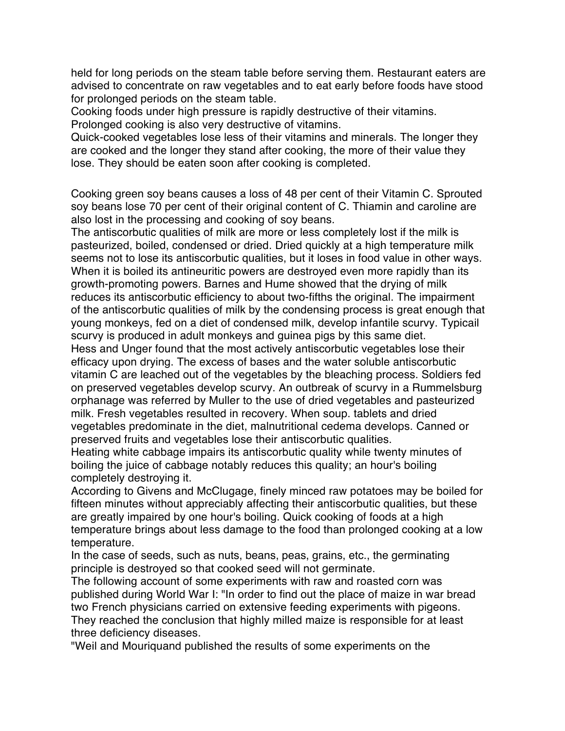held for long periods on the steam table before serving them. Restaurant eaters are advised to concentrate on raw vegetables and to eat early before foods have stood for prolonged periods on the steam table.

Cooking foods under high pressure is rapidly destructive of their vitamins. Prolonged cooking is also very destructive of vitamins.

Quick-cooked vegetables lose less of their vitamins and minerals. The longer they are cooked and the longer they stand after cooking, the more of their value they lose. They should be eaten soon after cooking is completed.

Cooking green soy beans causes a loss of 48 per cent of their Vitamin C. Sprouted soy beans lose 70 per cent of their original content of C. Thiamin and caroline are also lost in the processing and cooking of soy beans.

The antiscorbutic qualities of milk are more or less completely lost if the milk is pasteurized, boiled, condensed or dried. Dried quickly at a high temperature milk seems not to lose its antiscorbutic qualities, but it loses in food value in other ways. When it is boiled its antineuritic powers are destroyed even more rapidly than its growth-promoting powers. Barnes and Hume showed that the drying of milk reduces its antiscorbutic efficiency to about two-fifths the original. The impairment of the antiscorbutic qualities of milk by the condensing process is great enough that young monkeys, fed on a diet of condensed milk, develop infantile scurvy. Typicail scurvy is produced in adult monkeys and guinea pigs by this same diet.

Hess and Unger found that the most actively antiscorbutic vegetables lose their efficacy upon drying. The excess of bases and the water soluble antiscorbutic vitamin C are leached out of the vegetables by the bleaching process. Soldiers fed on preserved vegetables develop scurvy. An outbreak of scurvy in a Rummelsburg orphanage was referred by Muller to the use of dried vegetables and pasteurized milk. Fresh vegetables resulted in recovery. When soup. tablets and dried vegetables predominate in the diet, malnutritional cedema develops. Canned or preserved fruits and vegetables lose their antiscorbutic qualities.

Heating white cabbage impairs its antiscorbutic quality while twenty minutes of boiling the juice of cabbage notably reduces this quality; an hour's boiling completely destroying it.

According to Givens and McClugage, finely minced raw potatoes may be boiled for fifteen minutes without appreciably affecting their antiscorbutic qualities, but these are greatly impaired by one hour's boiling. Quick cooking of foods at a high temperature brings about less damage to the food than prolonged cooking at a low temperature.

In the case of seeds, such as nuts, beans, peas, grains, etc., the germinating principle is destroyed so that cooked seed will not germinate.

The following account of some experiments with raw and roasted corn was published during World War I: "In order to find out the place of maize in war bread two French physicians carried on extensive feeding experiments with pigeons. They reached the conclusion that highly milled maize is responsible for at least three deficiency diseases.

"Weil and Mouriquand published the results of some experiments on the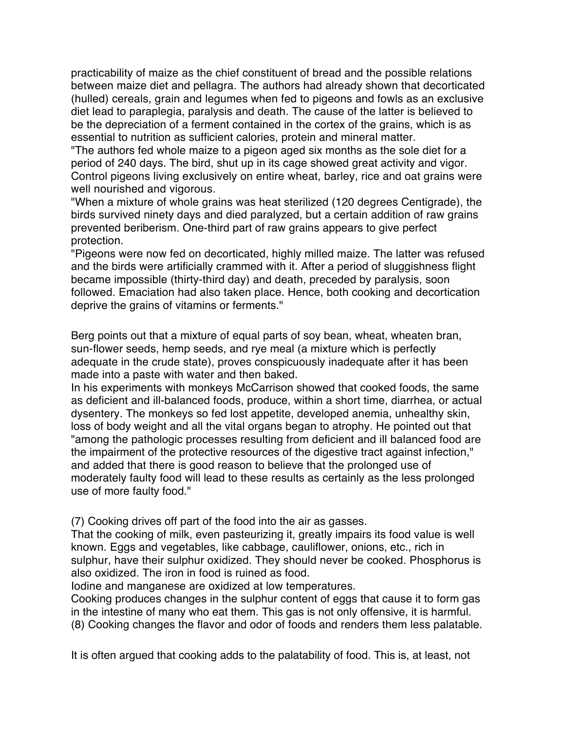practicability of maize as the chief constituent of bread and the possible relations between maize diet and pellagra. The authors had already shown that decorticated (hulled) cereals, grain and legumes when fed to pigeons and fowls as an exclusive diet lead to paraplegia, paralysis and death. The cause of the latter is believed to be the depreciation of a ferment contained in the cortex of the grains, which is as essential to nutrition as sufficient calories, protein and mineral matter.

"The authors fed whole maize to a pigeon aged six months as the sole diet for a period of 240 days. The bird, shut up in its cage showed great activity and vigor. Control pigeons living exclusively on entire wheat, barley, rice and oat grains were well nourished and vigorous.

"When a mixture of whole grains was heat sterilized (120 degrees Centigrade), the birds survived ninety days and died paralyzed, but a certain addition of raw grains prevented beriberism. One-third part of raw grains appears to give perfect protection.

"Pigeons were now fed on decorticated, highly milled maize. The latter was refused and the birds were artificially crammed with it. After a period of sluggishness flight became impossible (thirty-third day) and death, preceded by paralysis, soon followed. Emaciation had also taken place. Hence, both cooking and decortication deprive the grains of vitamins or ferments."

Berg points out that a mixture of equal parts of soy bean, wheat, wheaten bran, sun-flower seeds, hemp seeds, and rye meal (a mixture which is perfectly adequate in the crude state), proves conspicuously inadequate after it has been made into a paste with water and then baked.

In his experiments with monkeys McCarrison showed that cooked foods, the same as deficient and ill-balanced foods, produce, within a short time, diarrhea, or actual dysentery. The monkeys so fed lost appetite, developed anemia, unhealthy skin, loss of body weight and all the vital organs began to atrophy. He pointed out that "among the pathologic processes resulting from deficient and ill balanced food are the impairment of the protective resources of the digestive tract against infection," and added that there is good reason to believe that the prolonged use of moderately faulty food will lead to these results as certainly as the less prolonged use of more faulty food."

(7) Cooking drives off part of the food into the air as gasses.

That the cooking of milk, even pasteurizing it, greatly impairs its food value is well known. Eggs and vegetables, like cabbage, cauliflower, onions, etc., rich in sulphur, have their sulphur oxidized. They should never be cooked. Phosphorus is also oxidized. The iron in food is ruined as food.

Iodine and manganese are oxidized at low temperatures.

Cooking produces changes in the sulphur content of eggs that cause it to form gas in the intestine of many who eat them. This gas is not only offensive, it is harmful. (8) Cooking changes the flavor and odor of foods and renders them less palatable.

It is often argued that cooking adds to the palatability of food. This is, at least, not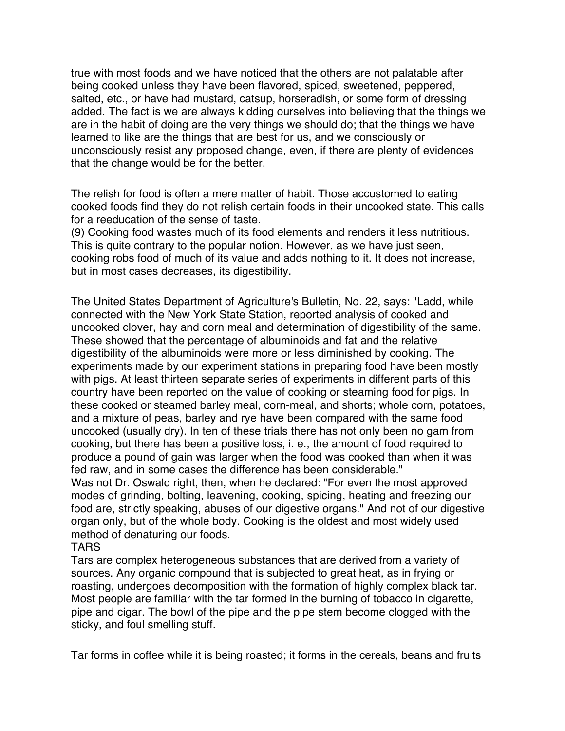true with most foods and we have noticed that the others are not palatable after being cooked unless they have been flavored, spiced, sweetened, peppered, salted, etc., or have had mustard, catsup, horseradish, or some form of dressing added. The fact is we are always kidding ourselves into believing that the things we are in the habit of doing are the very things we should do; that the things we have learned to like are the things that are best for us, and we consciously or unconsciously resist any proposed change, even, if there are plenty of evidences that the change would be for the better.

The relish for food is often a mere matter of habit. Those accustomed to eating cooked foods find they do not relish certain foods in their uncooked state. This calls for a reeducation of the sense of taste.

(9) Cooking food wastes much of its food elements and renders it less nutritious. This is quite contrary to the popular notion. However, as we have just seen, cooking robs food of much of its value and adds nothing to it. It does not increase, but in most cases decreases, its digestibility.

The United States Department of Agriculture's Bulletin, No. 22, says: "Ladd, while connected with the New York State Station, reported analysis of cooked and uncooked clover, hay and corn meal and determination of digestibility of the same. These showed that the percentage of albuminoids and fat and the relative digestibility of the albuminoids were more or less diminished by cooking. The experiments made by our experiment stations in preparing food have been mostly with pigs. At least thirteen separate series of experiments in different parts of this country have been reported on the value of cooking or steaming food for pigs. In these cooked or steamed barley meal, corn-meal, and shorts; whole corn, potatoes, and a mixture of peas, barley and rye have been compared with the same food uncooked (usually dry). In ten of these trials there has not only been no gam from cooking, but there has been a positive loss, i. e., the amount of food required to produce a pound of gain was larger when the food was cooked than when it was fed raw, and in some cases the difference has been considerable."

Was not Dr. Oswald right, then, when he declared: "For even the most approved modes of grinding, bolting, leavening, cooking, spicing, heating and freezing our food are, strictly speaking, abuses of our digestive organs." And not of our digestive organ only, but of the whole body. Cooking is the oldest and most widely used method of denaturing our foods.

#### TARS

Tars are complex heterogeneous substances that are derived from a variety of sources. Any organic compound that is subjected to great heat, as in frying or roasting, undergoes decomposition with the formation of highly complex black tar. Most people are familiar with the tar formed in the burning of tobacco in cigarette, pipe and cigar. The bowl of the pipe and the pipe stem become clogged with the sticky, and foul smelling stuff.

Tar forms in coffee while it is being roasted; it forms in the cereals, beans and fruits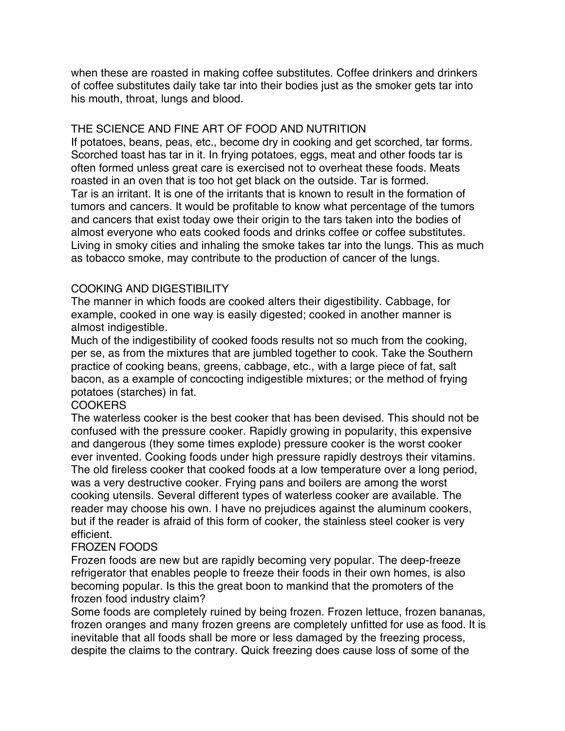when these are roasted in making coffee substitutes. Coffee drinkers and drinkers of coffee substitutes daily take tar into their bodies just as the smoker gets tar into his mouth, throat, lungs and blood.

#### THE SCIENCE AND FINE ART OF FOOD AND NUTRITION

If potatoes, beans, peas, etc., become dry in cooking and get scorched, tar forms. Scorched toast has tar in it. In frying potatoes, eggs, meat and other foods tar is often formed unless great care is exercised not to overheat these foods. Meats roasted in an oven that is too hot get black on the outside. Tar is formed. Tar is an irritant. It is one of the irritants that is known to result in the formation of tumors and cancers. It would be profitable to know what percentage of the tumors and cancers that exist today owe their origin to the tars taken into the bodies of almost everyone who eats cooked foods and drinks coffee or coffee substitutes. Living in smoky cities and inhaling the smoke takes tar into the lungs. This as much as tobacco smoke, may contribute to the production of cancer of the lungs.

## COOKING AND DIGESTIBILITY

The manner in which foods are cooked alters their digestibility. Cabbage, for example, cooked in one way is easily digested; cooked in another manner is almost indigestible.

Much of the indigestibility of cooked foods results not so much from the cooking, per se, as from the mixtures that are jumbled together to cook. Take the Southern practice of cooking beans, greens, cabbage, etc., with a large piece of fat, salt bacon, as a example of concocting indigestible mixtures; or the method of frying potatoes (starches) in fat.

## COOKERS

The waterless cooker is the best cooker that has been devised. This should not be confused with the pressure cooker. Rapidly growing in popularity, this expensive and dangerous (they some times explode) pressure cooker is the worst cooker ever invented. Cooking foods under high pressure rapidly destroys their vitamins. The old fireless cooker that cooked foods at a low temperature over a long period, was a very destructive cooker. Frying pans and boilers are among the worst cooking utensils. Several different types of waterless cooker are available. The reader may choose his own. I have no prejudices against the aluminum cookers, but if the reader is afraid of this form of cooker, the stainless steel cooker is very efficient.

## FROZEN FOODS

Frozen foods are new but are rapidly becoming very popular. The deep-freeze refrigerator that enables people to freeze their foods in their own homes, is also becoming popular. Is this the great boon to mankind that the promoters of the frozen food industry claim?

Some foods are completely ruined by being frozen. Frozen lettuce, frozen bananas, frozen oranges and many frozen greens are completely unfitted for use as food. It is inevitable that all foods shall be more or less damaged by the freezing process, despite the claims to the contrary. Quick freezing does cause loss of some of the